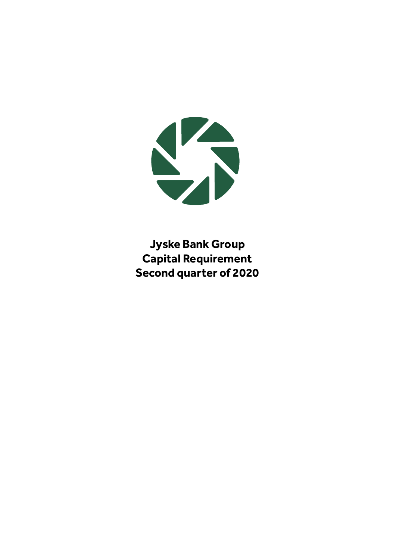

**Jyske Bank Group Capital Requirement Second quarter of 2020**